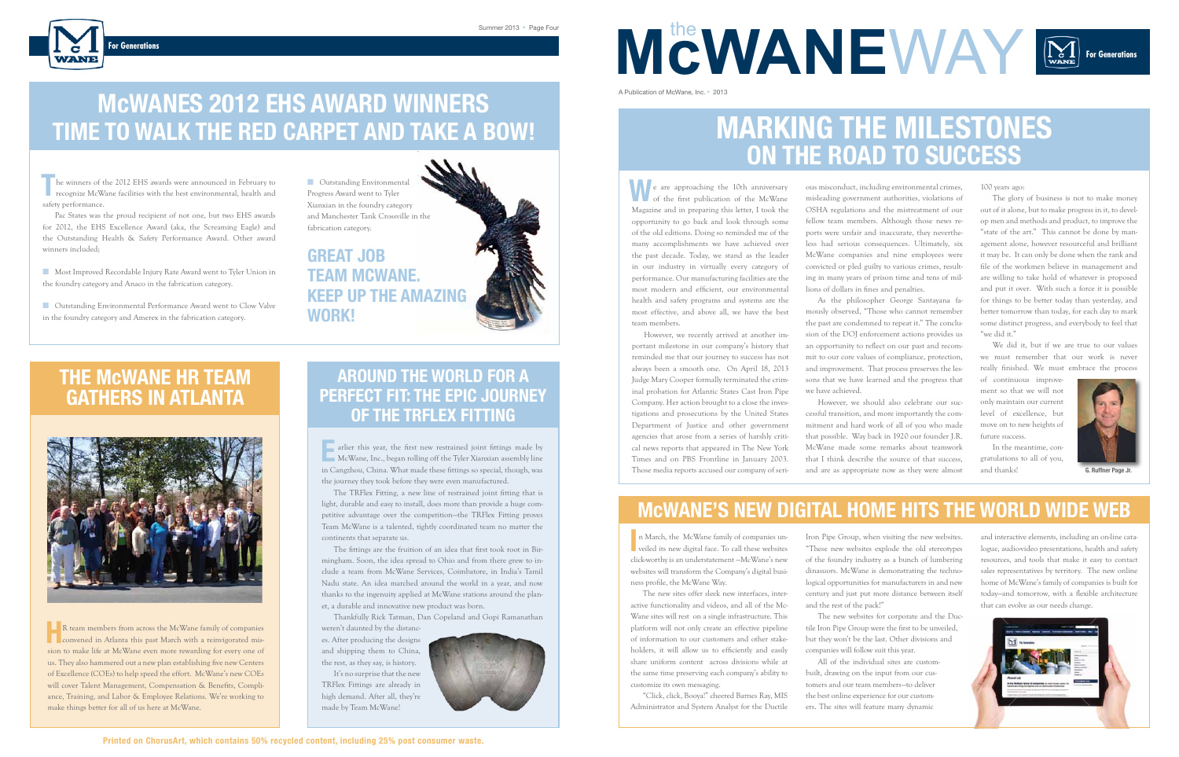# **ON THE road to success**

n March, the McWane family of companies unveiled its new digital face. To call these websites veiled its new digital face. To call these websites click-worthy is an understatement —McWane's new websites will transform the Company's digital business profile, the McWane Way.

The new sites offer sleek new interfaces, interactive functionality and videos, and all of the Mc-Wane sites will rest on a single infrastructure. This platform will not only create an effective pipeline of information to our customers and other stakeholders, it will allow us to efficiently and easily share uniform content across divisions while at the same time preserving each company's ability to customize its own messaging.

"Click, click, Booya!" cheered Barnes Ray, MIS Administrator and System Analyst for the Ductile

Iron Pipe Group, when visiting the new websites. "These new websites explode the old stereotypes of the foundry industry as a bunch of lumbering dinasuors. McWane is demonstrating the technological opportunities for manufacturers in and new century and just put more distance between itself and the rest of the pack!"

We did it, but if we are true to our values we must remember that our work is never really finished. We must embrace the process

The new websites for corporate and the Ductile Iron Pipe Group were the first to be unveiled, but they won't be the last. Other divisions and companies will follow suit this year.

All of the individual sites are custombuilt, drawing on the input from our customers and our team members—to deliver the best online experience for our customers. The sites will feature many dynamic

**Nost Improved Recordable Injury Rate Award went to Tyler Union in** the foundry category and Anaco in the fabrication category.

### **McWane's new digital home hits the world wide web**

100 years ago:

n Cutstanding Environmental Performance Award went to Clow Valve in the foundry category and Amerex in the fabrication category.

The glory of business is not to make money out of it alone, but to make progress in it, to develop men and methods and product, to improve the "state of the art." This cannot be done by management alone, however resourceful and brilliant it may be. It can only be done when the rank and file of the workmen believe in management and are willing to take hold of whatever is proposed and put it over. With such a force it is possible for things to be better today than yesterday, and better tomorrow than today, for each day to mark some distinct progress, and everybody to feel that "we did it."

**G. Ruffner Page Jr.**



## **McWANES 2012 EHS AWARD WINNERS TIME TO WALK THE RED CARPET AND TAKE A BOW! MARKING THE MILESTONES**

**W** e are approaching the 10th anniversary of the first publication of the McWane Magazine and in preparing this letter, I took the opportunity to go back and look through some of the old editions. Doing so reminded me of the many accomplishments we have achieved over the past decade. Today, we stand as the leader in our industry in virtually every category of performance. Our manufacturing facilities are the most modern and efficient, our environmental health and safety programs and systems are the most effective, and above all, we have the best team members.

**For Generations**

**MCWANEWAY** 

he winners of the 2012 EHS awards were announced in February to The winners of the 2012 EHS awards were announced in February to Cutstanding Environmental<br> **T** network environmental, health and Progress Award went to Tyler safety performance.

Pac States was the proud recipient of not one, but two EHS awards for 2012, the EHS Excellence Award (aka, the Screaming Eagle) and the Outstanding Health & Safety Performance Award. Other award winners included;

R team members from across the McWane family of companies<br>
convened in Atlanta this past March with a reinvigorated mis-**CONVERGED** convened in Atlanta this past March with a reinvigorated mission to make life at McWane even more rewarding for every one of us. They also hammered out a new plan establishing five new Centers of Excellence (COEs) to help speed the effort. McWane's new COEs will cover Talent Management, Compensation & Benefits, Compliance, Training, and Labor & Employee Relations. We're working to make things better for all of us here at McWane.

**E**arlier this year, the first new restrained joint fittings made by McWane, Inc., began rolling off the Tyler Xianxian assembly line in Cangzhou, China. What made these fittings so special, though, was the journey they took before they were even manufactured.

ous misconduct, including environmental crimes, misleading government authorities, violations of OSHA regulations and the mistreatment of our fellow team members. Although those news reports were unfair and inaccurate, they nevertheless had serious consequences. Ultimately, six McWane companies and nine employees were convicted or pled guilty to various crimes, resulting in many years of prison time and tens of millions of dollars in fines and penalties.

As the philosopher George Santayana famously observed, "Those who cannot remember the past are condemned to repeat it." The conclusion of the DOJ enforcement actions provides us an opportunity to reflect on our past and recommit to our core values of compliance, protection, and improvement. That process preserves the lessons that we have learned and the progress that we have achieved.

However, we should also celebrate our successful transition, and more importantly the commitment and hard work of all of you who made that possible. Way back in 1920 our founder J.R. McWane made some remarks about teamwork that I think describe the source of that success, and are as appropriate now as they were almost

However, we recently arrived at another important milestone in our company's history that reminded me that our journey to success has not always been a smooth one. On April 18, 2013 Judge Mary Cooper formally terminated the criminal probation for Atlantic States Cast Iron Pipe Company. Her action brought to a close the investigations and prosecutions by the United States Department of Justice and other government agencies that arose from a series of harshly critical news reports that appeared in The New York Times and on PBS Frontline in January 2003. Those media reports accused our company of seri-

### **THE McWANE HR TEAM GATHERS IN ATLANTA**



of continuous improvement so that we will not only maintain our current level of excellence, but move on to new heights of future success.

In the meantime, congratulations to all of you, and thanks!



Progress Award went to Tyler Xianxian in the foundry category and Manchester Tank Crossville in the fabrication category.

**Great job Team McWane. Keep up the amazing work!**

A Publication of McWane, Inc. n 2013

### **Around the World For a Perfect Fit: The Epic Journey of the TRFlex Fitting**

The TRFlex Fitting, a new line of restrained joint fitting that is light, durable and easy to install, does more than provide a huge competitive advantage over the competition—the TRFlex Fitting proves Team McWane is a talented, tightly coordinated team no matter the continents that separate us.

The fittings are the fruition of an idea that first took root in Birmingham. Soon, the idea spread to Ohio and from there grew to include a team from McWane Services, Coimbatore, in India's Tamil Nadu state. An idea marched around the world in a year, and now thanks to the ingenuity applied at McWane stations around the planet, a durable and innovative new product was born.

Thankfully Rick Tatman, Dan Copeland and Gopi Ramanathan

weren't daunted by the distances. After producing the designs and shipping them to China, the rest, as they say, is history.

It's no surprise that the new TRFlex Fittings are already in high demand. After all, they're made by Team McWane!



and interactive elements, including an on-line catalogue, audio-video presentations, health and safety resources, and tools that make it easy to contact sales representatives by territory. The new online home of McWane's family of companies is built for today—and tomorrow, with a flexible architecture that can evolve as our needs change.